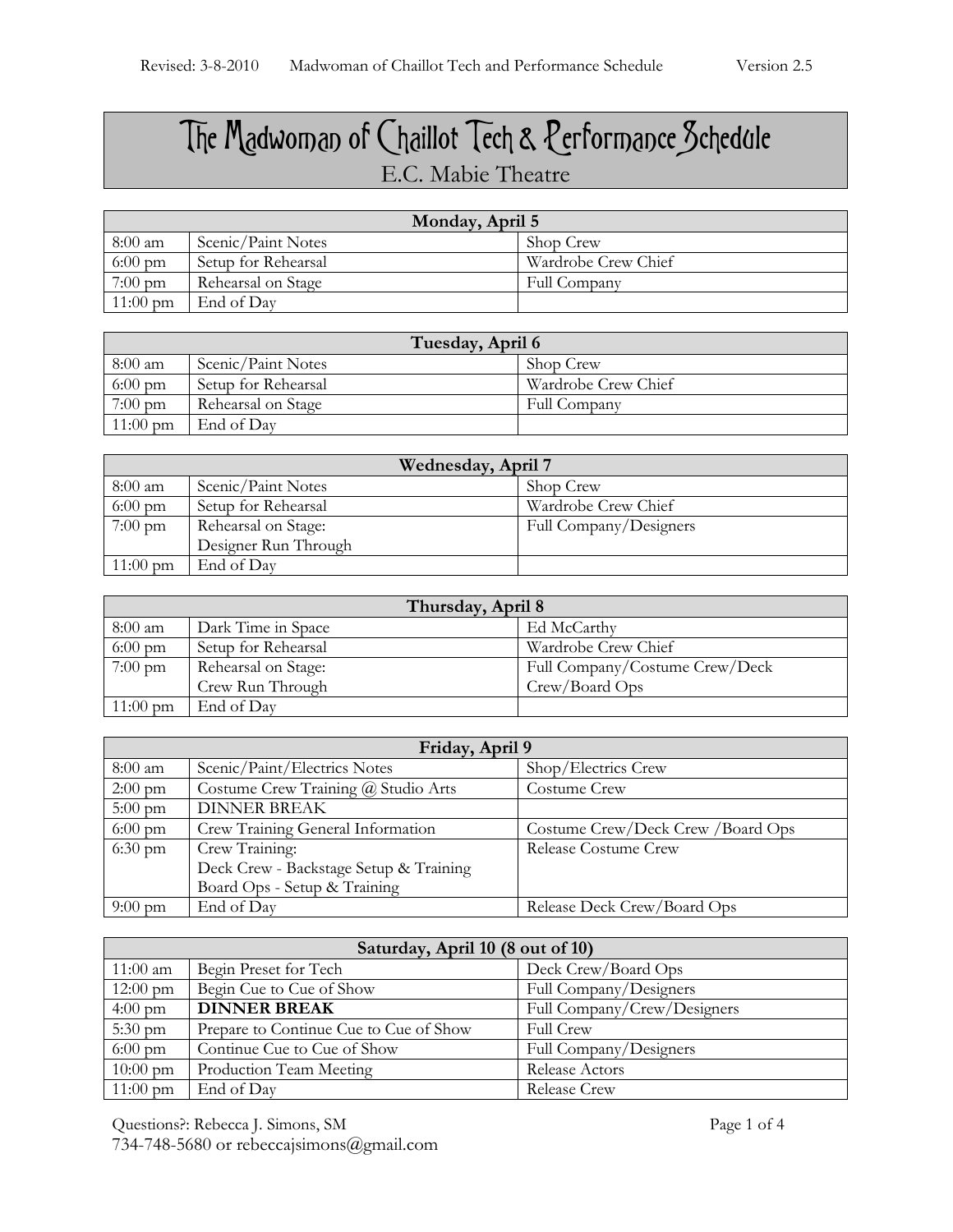## The Madwoman of Chaillot Tech & Performance Schedule E.C. Mabie Theatre

| Monday, April 5    |                     |                     |
|--------------------|---------------------|---------------------|
| 8:00 am            | Scenic/Paint Notes  | Shop Crew           |
| $6:00 \text{ pm}$  | Setup for Rehearsal | Wardrobe Crew Chief |
| $7:00 \text{ pm}$  | Rehearsal on Stage  | Full Company        |
| $11:00 \text{ pm}$ | End of Day          |                     |

| Tuesday, April 6   |                     |                     |
|--------------------|---------------------|---------------------|
| 8:00 am            | Scenic/Paint Notes  | Shop Crew           |
| $6:00 \text{ pm}$  | Setup for Rehearsal | Wardrobe Crew Chief |
| $7:00 \text{ pm}$  | Rehearsal on Stage  | Full Company        |
| $11:00 \text{ pm}$ | End of Day          |                     |

| Wednesday, April 7 |                      |                        |
|--------------------|----------------------|------------------------|
| $8:00 \text{ am}$  | Scenic/Paint Notes   | Shop Crew              |
| $6:00 \text{ pm}$  | Setup for Rehearsal  | Wardrobe Crew Chief    |
| $7:00 \text{ pm}$  | Rehearsal on Stage:  | Full Company/Designers |
|                    | Designer Run Through |                        |
| $11:00 \text{ pm}$ | End of Day           |                        |

| Thursday, April 8  |                     |                                |
|--------------------|---------------------|--------------------------------|
| $8:00 \text{ am}$  | Dark Time in Space  | Ed McCarthy                    |
| $6:00 \text{ pm}$  | Setup for Rehearsal | Wardrobe Crew Chief            |
| $7:00 \text{ pm}$  | Rehearsal on Stage: | Full Company/Costume Crew/Deck |
|                    | Crew Run Through    | Crew/Board Ops                 |
| $11:00 \text{ pm}$ | End of Day          |                                |

| Friday, April 9   |                                        |                                   |
|-------------------|----------------------------------------|-----------------------------------|
| 8:00 am           | Scenic/Paint/Electrics Notes           | Shop/Electrics Crew               |
| $2:00 \text{ pm}$ | Costume Crew Training @ Studio Arts    | Costume Crew                      |
| $5:00 \text{ pm}$ | <b>DINNER BREAK</b>                    |                                   |
| $6:00 \text{ pm}$ | Crew Training General Information      | Costume Crew/Deck Crew /Board Ops |
| $6:30 \text{ pm}$ | Crew Training:                         | Release Costume Crew              |
|                   | Deck Crew - Backstage Setup & Training |                                   |
|                   | Board Ops - Setup & Training           |                                   |
| $9:00 \text{ pm}$ | End of Day                             | Release Deck Crew/Board Ops       |

| Saturday, April 10 (8 out of 10) |                                        |                             |
|----------------------------------|----------------------------------------|-----------------------------|
| $11:00$ am                       | Begin Preset for Tech                  | Deck Crew/Board Ops         |
| $12:00 \text{ pm}$               | Begin Cue to Cue of Show               | Full Company/Designers      |
| $4:00 \text{ pm}$                | <b>DINNER BREAK</b>                    | Full Company/Crew/Designers |
| $5:30 \text{ pm}$                | Prepare to Continue Cue to Cue of Show | <b>Full Crew</b>            |
| $6:00 \text{ pm}$                | Continue Cue to Cue of Show            | Full Company/Designers      |
| $10:00 \text{ pm}$               | Production Team Meeting                | Release Actors              |
| $11:00 \text{ pm}$               | End of Day                             | <b>Release Crew</b>         |

Questions?: Rebecca J. Simons, SM Page 1 of 4 734-748-5680 or rebeccajsimons@gmail.com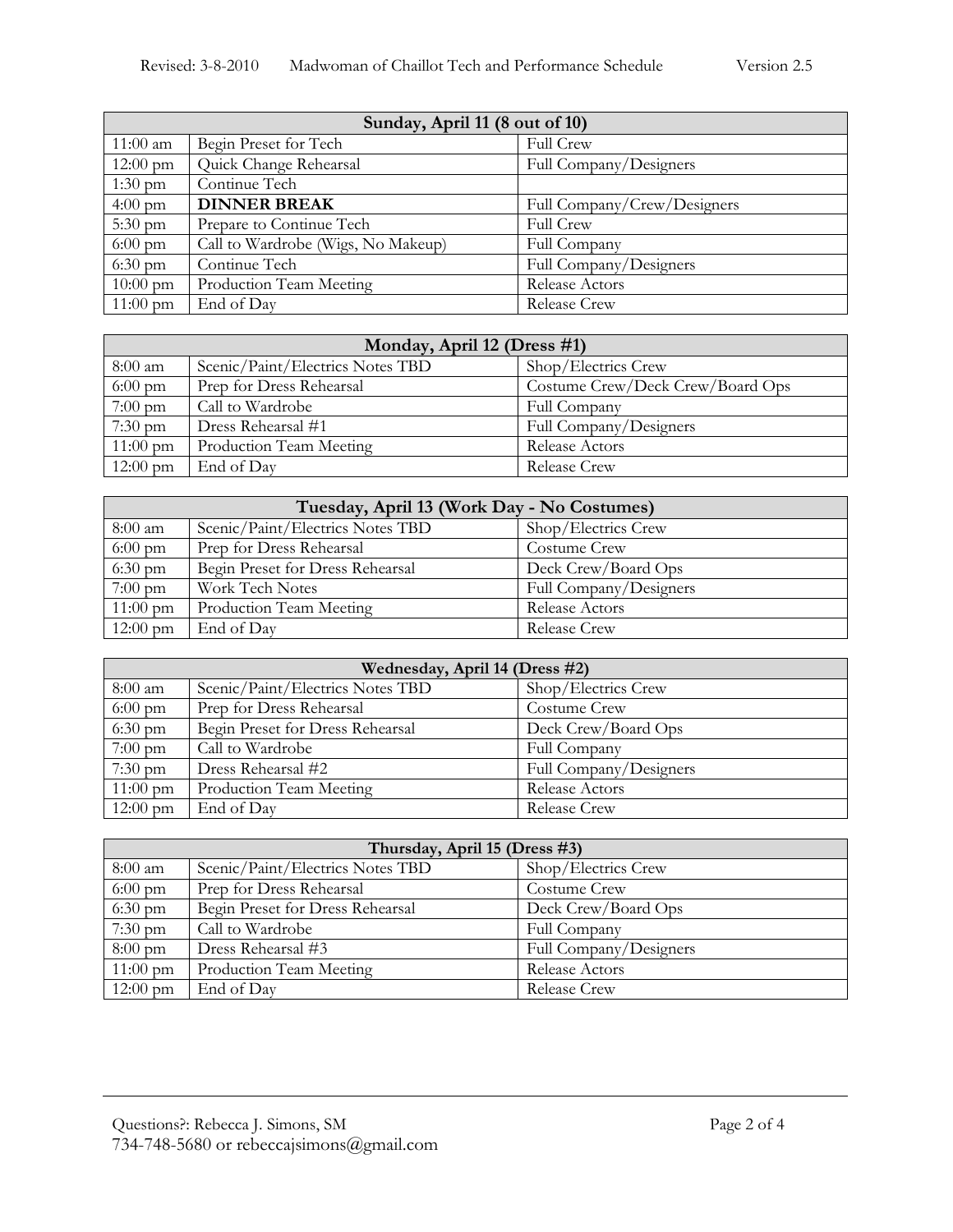| Sunday, April 11 (8 out of 10) |                                    |                             |
|--------------------------------|------------------------------------|-----------------------------|
| $11:00$ am                     | Begin Preset for Tech              | <b>Full Crew</b>            |
| $12:00 \text{ pm}$             | Quick Change Rehearsal             | Full Company/Designers      |
| $1:30 \text{ pm}$              | Continue Tech                      |                             |
| $4:00 \text{ pm}$              | <b>DINNER BREAK</b>                | Full Company/Crew/Designers |
| $5:30 \text{ pm}$              | Prepare to Continue Tech           | <b>Full Crew</b>            |
| $6:00 \text{ pm}$              | Call to Wardrobe (Wigs, No Makeup) | Full Company                |
| $6:30 \text{ pm}$              | Continue Tech                      | Full Company/Designers      |
| $10:00 \text{ pm}$             | Production Team Meeting            | Release Actors              |
| $11:00 \text{ pm}$             | End of Day                         | Release Crew                |

| Monday, April 12 (Dress #1) |                                  |                                  |
|-----------------------------|----------------------------------|----------------------------------|
| 8:00 am                     | Scenic/Paint/Electrics Notes TBD | Shop/Electrics Crew              |
| $6:00 \text{ pm}$           | Prep for Dress Rehearsal         | Costume Crew/Deck Crew/Board Ops |
| $7:00 \text{ pm}$           | Call to Wardrobe                 | Full Company                     |
| $7:30 \text{ pm}$           | Dress Rehearsal #1               | Full Company/Designers           |
| $11:00 \text{ pm}$          | Production Team Meeting          | Release Actors                   |
| $12:00 \text{ pm}$          | End of Day                       | Release Crew                     |

| Tuesday, April 13 (Work Day - No Costumes) |                                  |                        |
|--------------------------------------------|----------------------------------|------------------------|
| 8:00 am                                    | Scenic/Paint/Electrics Notes TBD | Shop/Electrics Crew    |
| $6:00 \text{ pm}$                          | Prep for Dress Rehearsal         | Costume Crew           |
| $6:30 \text{ pm}$                          | Begin Preset for Dress Rehearsal | Deck Crew/Board Ops    |
| $7:00 \text{ pm}$                          | Work Tech Notes                  | Full Company/Designers |
| $11:00 \text{ pm}$                         | Production Team Meeting          | Release Actors         |
| $12:00 \text{ pm}$                         | End of Day                       | Release Crew           |

| Wednesday, April 14 (Dress #2) |                                  |                        |
|--------------------------------|----------------------------------|------------------------|
| 8:00 am                        | Scenic/Paint/Electrics Notes TBD | Shop/Electrics Crew    |
| $6:00 \text{ pm}$              | Prep for Dress Rehearsal         | Costume Crew           |
| $6:30 \text{ pm}$              | Begin Preset for Dress Rehearsal | Deck Crew/Board Ops    |
| $7:00 \text{ pm}$              | Call to Wardrobe                 | Full Company           |
| $7:30 \text{ pm}$              | Dress Rehearsal #2               | Full Company/Designers |
| $11:00 \text{ pm}$             | Production Team Meeting          | Release Actors         |
| $12:00 \text{ pm}$             | End of Day                       | <b>Release Crew</b>    |

| Thursday, April 15 (Dress #3) |                                  |                        |
|-------------------------------|----------------------------------|------------------------|
| 8:00 am                       | Scenic/Paint/Electrics Notes TBD | Shop/Electrics Crew    |
| $6:00 \text{ pm}$             | Prep for Dress Rehearsal         | Costume Crew           |
| $6:30 \text{ pm}$             | Begin Preset for Dress Rehearsal | Deck Crew/Board Ops    |
| $7:30 \text{ pm}$             | Call to Wardrobe                 | Full Company           |
| $8:00 \text{ pm}$             | Dress Rehearsal #3               | Full Company/Designers |
| $11:00 \text{ pm}$            | Production Team Meeting          | Release Actors         |
| $12:00 \text{ pm}$            | End of Day                       | <b>Release Crew</b>    |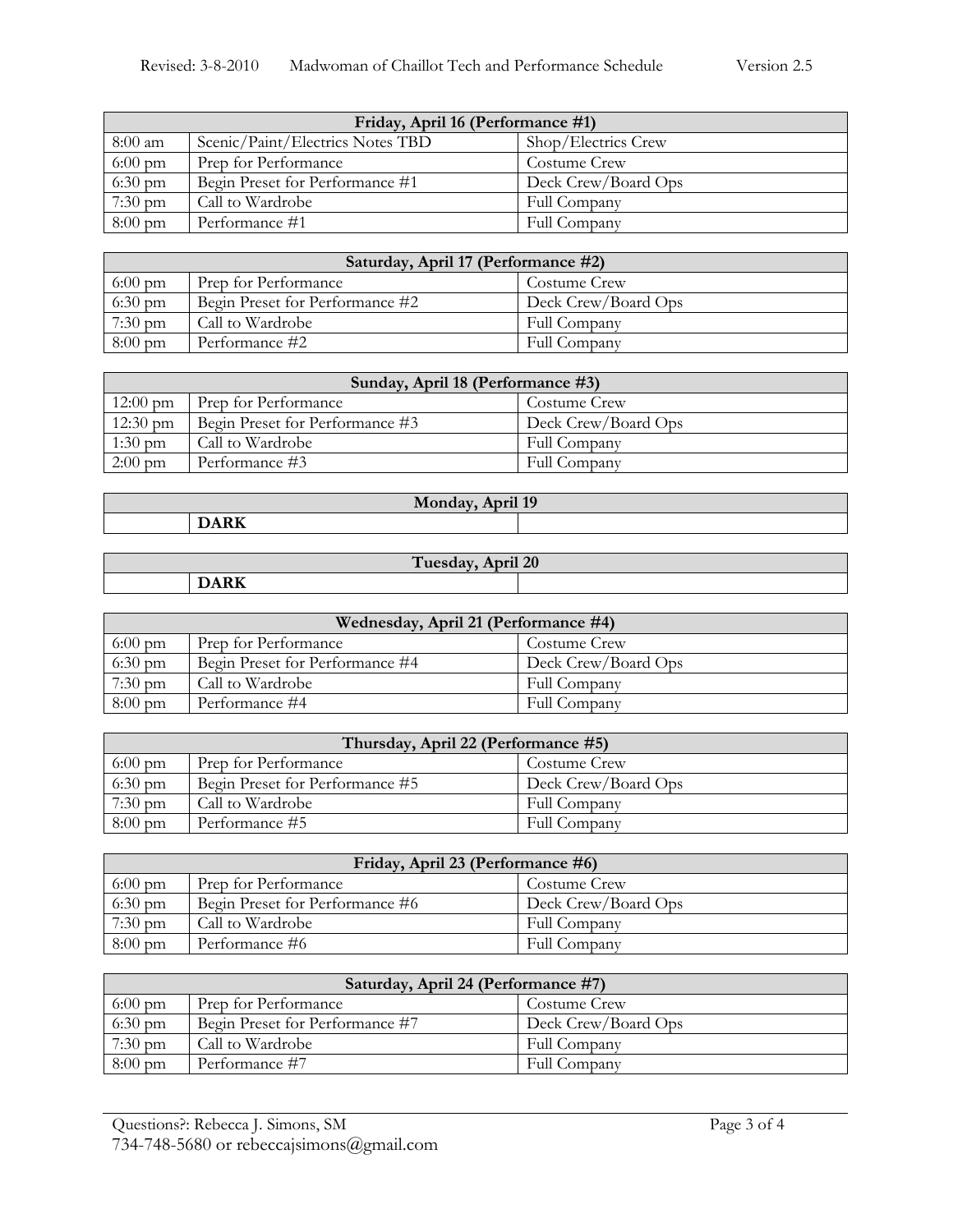| Friday, April 16 (Performance #1) |                                  |                     |
|-----------------------------------|----------------------------------|---------------------|
| 8:00 am                           | Scenic/Paint/Electrics Notes TBD | Shop/Electrics Crew |
| $6:00 \text{ pm}$                 | Prep for Performance             | Costume Crew        |
| $6:30 \text{ pm}$                 | Begin Preset for Performance #1  | Deck Crew/Board Ops |
| $7:30 \text{ pm}$                 | Call to Wardrobe                 | Full Company        |
| $8:00 \text{ pm}$                 | Performance #1                   | Full Company        |

| Saturday, April 17 (Performance #2) |                                 |                     |
|-------------------------------------|---------------------------------|---------------------|
| $6:00 \text{ pm}$                   | Prep for Performance            | Costume Crew        |
| $6:30 \text{ pm}$                   | Begin Preset for Performance #2 | Deck Crew/Board Ops |
| $7:30 \text{ pm}$                   | Call to Wardrobe                | Full Company        |
| $8:00 \text{ pm}$                   | Performance #2                  | Full Company        |

| Sunday, April 18 (Performance #3) |                                 |                     |
|-----------------------------------|---------------------------------|---------------------|
| $12:00 \text{ pm}$                | Prep for Performance            | Costume Crew        |
| $12:30 \text{ pm}$                | Begin Preset for Performance #3 | Deck Crew/Board Ops |
| $1:30$ pm                         | Call to Wardrobe                | Full Company        |
| $2:00 \text{ pm}$                 | Performance #3                  | Full Company        |

| Monday, April 19 |  |  |
|------------------|--|--|
|                  |  |  |
|                  |  |  |

| April 20<br>Tuesday |                                                                                 |  |  |
|---------------------|---------------------------------------------------------------------------------|--|--|
|                     | the contract of the contract of the contract of the contract of the contract of |  |  |

| Wednesday, April 21 (Performance #4) |                                 |                     |
|--------------------------------------|---------------------------------|---------------------|
| $6:00 \text{ pm}$                    | Prep for Performance            | Costume Crew        |
| $6:30 \text{ pm}$                    | Begin Preset for Performance #4 | Deck Crew/Board Ops |
| $7:30 \text{ pm}$                    | Call to Wardrobe                | Full Company        |
| $8:00 \text{ pm}$                    | Performance #4                  | Full Company        |

| Thursday, April 22 (Performance #5) |                                 |                     |
|-------------------------------------|---------------------------------|---------------------|
| $6:00 \text{ pm}$                   | Prep for Performance            | Costume Crew        |
| $6:30 \text{ pm}$                   | Begin Preset for Performance #5 | Deck Crew/Board Ops |
| $7:30 \text{ pm}$                   | Call to Wardrobe                | Full Company        |
| $8:00 \text{ pm}$                   | Performance #5                  | Full Company        |

| Friday, April 23 (Performance #6) |                                 |                     |
|-----------------------------------|---------------------------------|---------------------|
| $6:00 \text{ pm}$                 | Prep for Performance            | Costume Crew        |
| $6:30 \text{ pm}$                 | Begin Preset for Performance #6 | Deck Crew/Board Ops |
| $7:30 \text{ pm}$                 | Call to Wardrobe                | Full Company        |
| $8:00 \text{ pm}$                 | Performance #6                  | Full Company        |

| Saturday, April 24 (Performance #7) |                                 |                     |
|-------------------------------------|---------------------------------|---------------------|
| $6:00 \text{ pm}$                   | Prep for Performance            | Costume Crew        |
| $6:30 \text{ pm}$                   | Begin Preset for Performance #7 | Deck Crew/Board Ops |
| $7:30 \text{ pm}$                   | Call to Wardrobe                | Full Company        |
| $8:00 \text{ pm}$                   | Performance #7                  | Full Company        |